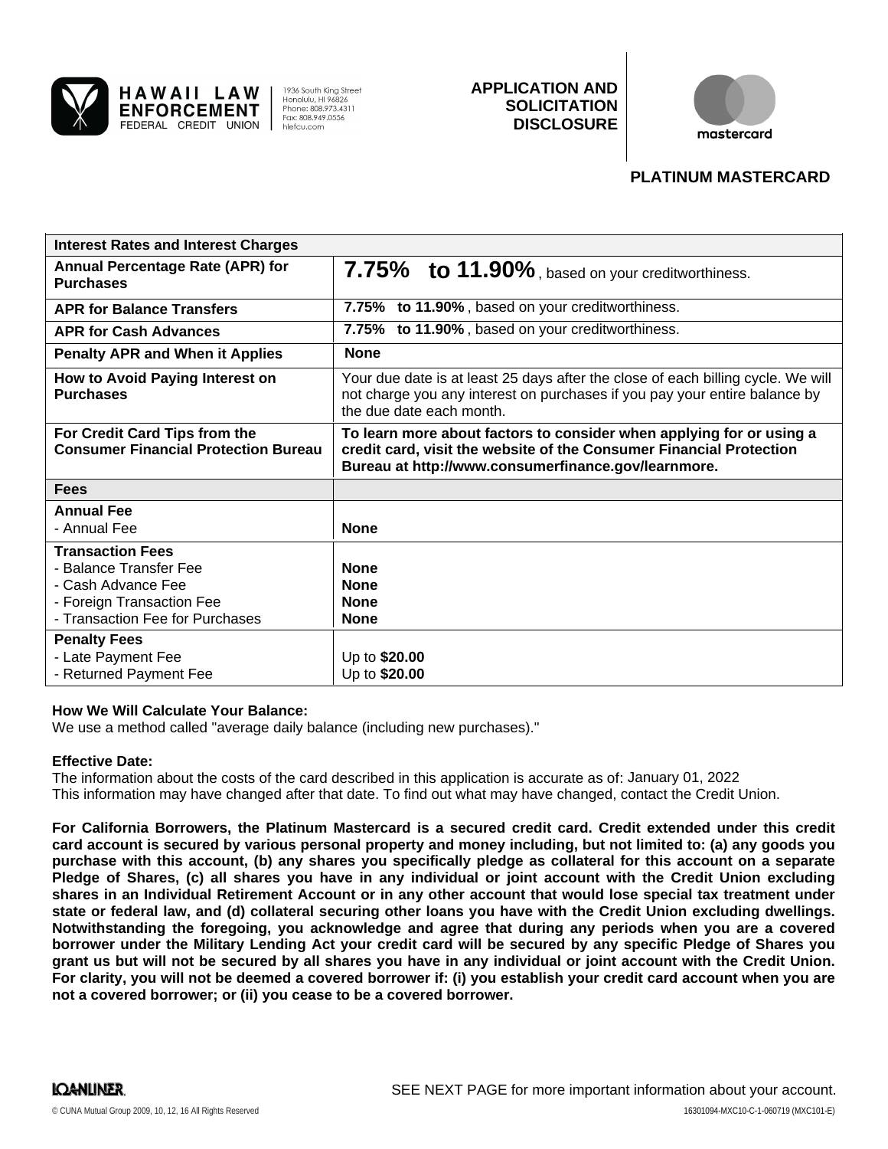

HAWAII LAW

**ENFORCEMENT** 

FEDERAL CREDIT UNION

1936 South King Street Honolulu, HI 96826<br>Phone: 808.973.4311 Fax: 808,949,0556 hlefcu.com

# **APPLICATION AND SOLICITATION DISCLOSURE**



## **PLATINUM MASTERCARD**

| <b>Interest Rates and Interest Charges</b>                                                                                              |                                                                                                                                                                                                    |
|-----------------------------------------------------------------------------------------------------------------------------------------|----------------------------------------------------------------------------------------------------------------------------------------------------------------------------------------------------|
| <b>Annual Percentage Rate (APR) for</b><br><b>Purchases</b>                                                                             | 7.75% to 11.90%, based on your creditworthiness.                                                                                                                                                   |
| <b>APR for Balance Transfers</b>                                                                                                        | 7.75% to 11.90%, based on your creditworthiness.                                                                                                                                                   |
| <b>APR for Cash Advances</b>                                                                                                            | 7.75% to 11.90%, based on your creditworthiness.                                                                                                                                                   |
| <b>Penalty APR and When it Applies</b>                                                                                                  | <b>None</b>                                                                                                                                                                                        |
| How to Avoid Paying Interest on<br><b>Purchases</b>                                                                                     | Your due date is at least 25 days after the close of each billing cycle. We will<br>not charge you any interest on purchases if you pay your entire balance by<br>the due date each month.         |
| For Credit Card Tips from the<br><b>Consumer Financial Protection Bureau</b>                                                            | To learn more about factors to consider when applying for or using a<br>credit card, visit the website of the Consumer Financial Protection<br>Bureau at http://www.consumerfinance.gov/learnmore. |
| <b>Fees</b>                                                                                                                             |                                                                                                                                                                                                    |
| <b>Annual Fee</b><br>- Annual Fee                                                                                                       | <b>None</b>                                                                                                                                                                                        |
| <b>Transaction Fees</b><br>- Balance Transfer Fee<br>- Cash Advance Fee<br>- Foreign Transaction Fee<br>- Transaction Fee for Purchases | <b>None</b><br><b>None</b><br><b>None</b><br><b>None</b>                                                                                                                                           |
| <b>Penalty Fees</b><br>- Late Payment Fee<br>- Returned Payment Fee                                                                     | Up to \$20.00<br>Up to \$20.00                                                                                                                                                                     |

#### **How We Will Calculate Your Balance:**

We use a method called "average daily balance (including new purchases)."

#### **Effective Date:**

The information about the costs of the card described in this application is accurate as of: January 01, 2022This information may have changed after that date. To find out what may have changed, contact the Credit Union.

**For California Borrowers, the Platinum Mastercard is a secured credit card. Credit extended under this credit card account is secured by various personal property and money including, but not limited to: (a) any goods you purchase with this account, (b) any shares you specifically pledge as collateral for this account on a separate Pledge of Shares, (c) all shares you have in any individual or joint account with the Credit Union excluding shares in an Individual Retirement Account or in any other account that would lose special tax treatment under state or federal law, and (d) collateral securing other loans you have with the Credit Union excluding dwellings. Notwithstanding the foregoing, you acknowledge and agree that during any periods when you are a covered borrower under the Military Lending Act your credit card will be secured by any specific Pledge of Shares you grant us but will not be secured by all shares you have in any individual or joint account with the Credit Union. For clarity, you will not be deemed a covered borrower if: (i) you establish your credit card account when you are not a covered borrower; or (ii) you cease to be a covered borrower.**